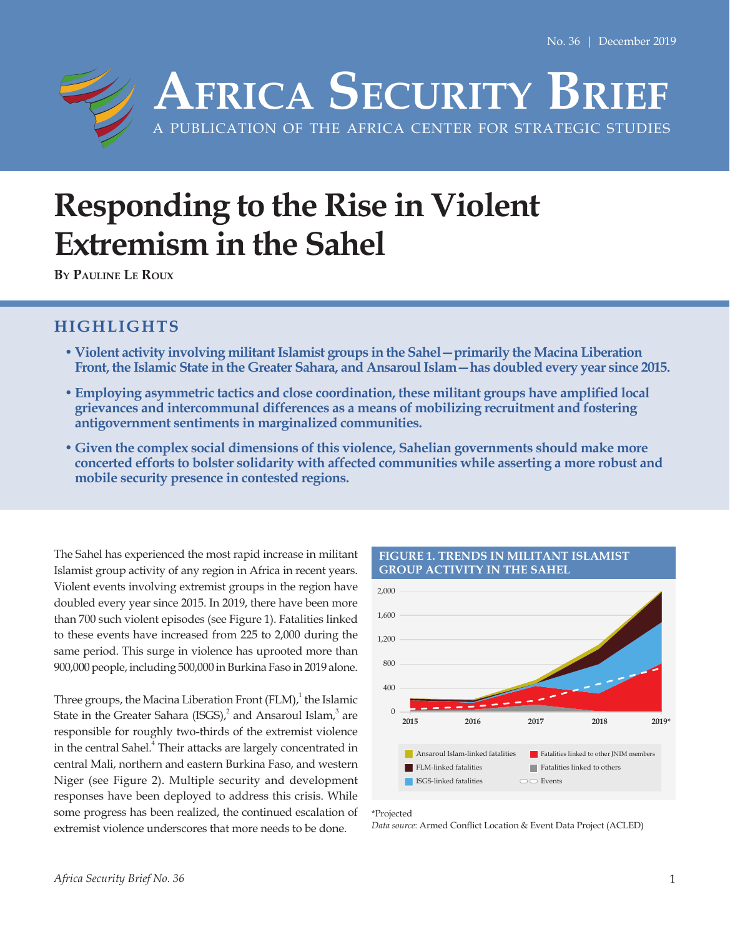

# **Responding to the Rise in Violent Extremism in the Sahel**

**By Pauline Le Roux**

## **HIGHLIGHTS**

- **•Violent activity involving militant Islamist groups in the Sahel—primarily the Macina Liberation Front, the Islamic State in the Greater Sahara, and Ansaroul Islam—has doubled every year since 2015.**
- **•Employing asymmetric tactics and close coordination, these militant groups have amplified local grievances and intercommunal differences as a means of mobilizing recruitment and fostering antigovernment sentiments in marginalized communities.**
- **• Given the complex social dimensions of this violence, Sahelian governments should make more concerted efforts to bolster solidarity with affected communities while asserting a more robust and mobile security presence in contested regions.**

The Sahel has experienced the most rapid increase in militant Islamist group activity of any region in Africa in recent years. Violent events involving extremist groups in the region have doubled every year since 2015. In 2019, there have been more than 700 such violent episodes (see Figure 1). Fatalities linked to these events have increased from 225 to 2,000 during the same period. This surge in violence has uprooted more than 900,000 people, including 500,000 in Burkina Faso in 2019 alone.

Three groups, the Macina Liberation Front  $(FLM)<sup>1</sup>$  the Islamic State in the Greater Sahara (ISGS), and Ansaroul Islam,  $3$  are responsible for roughly two-thirds of the extremist violence in the central Sahel.<sup>4</sup> Their attacks are largely concentrated in central Mali, northern and eastern Burkina Faso, and western Niger (see Figure 2). Multiple security and development responses have been deployed to address this crisis. While some progress has been realized, the continued escalation of extremist violence underscores that more needs to be done.



**FIGURE 1. TRENDS IN MILITANT ISLAMIST GROUP ACTIVITY IN THE SAHEL**

*Data source*: Armed Conflict Location & Event Data Project (ACLED)

<sup>\*</sup>Projected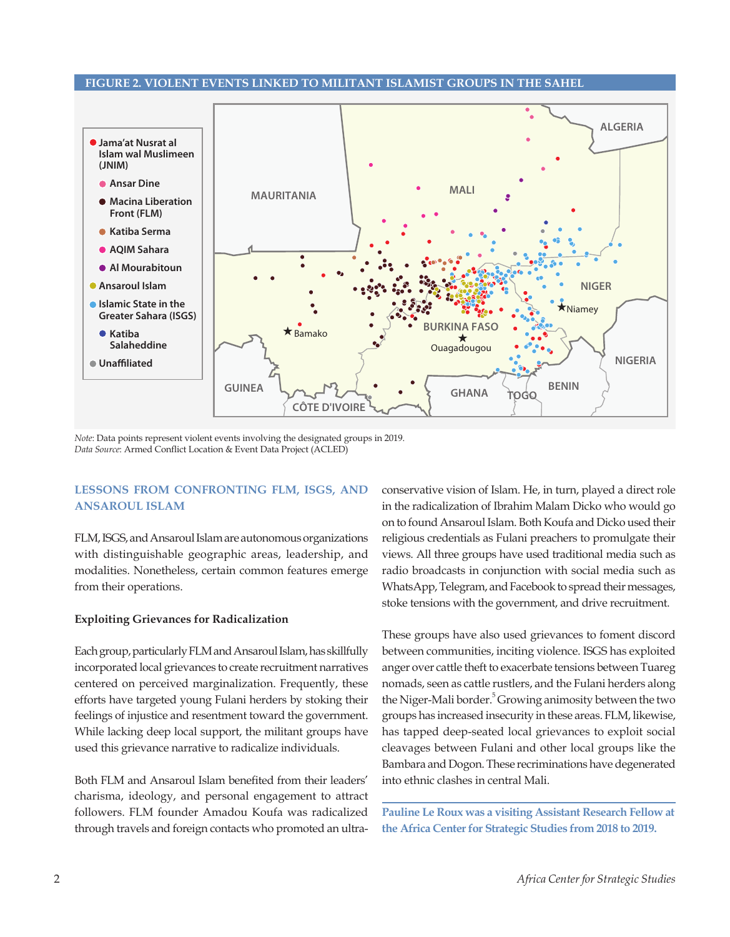## **FIGURE 2. VIOLENT EVENTS LINKED TO MILITANT ISLAMIST GROUPS IN THE SAHEL**



*Note*: Data points represent violent events involving the designated groups in 2019. *Data Source*: Armed Conflict Location & Event Data Project (ACLED)

## **LESSONS FROM CONFRONTING FLM, ISGS, AND ANSAROUL ISLAM**

FLM, ISGS, and Ansaroul Islam are autonomous organizations with distinguishable geographic areas, leadership, and modalities. Nonetheless, certain common features emerge from their operations.

#### **Exploiting Grievances for Radicalization**

Each group, particularly FLM and Ansaroul Islam, has skillfully incorporated local grievances to create recruitment narratives centered on perceived marginalization. Frequently, these efforts have targeted young Fulani herders by stoking their feelings of injustice and resentment toward the government. While lacking deep local support, the militant groups have used this grievance narrative to radicalize individuals.

Both FLM and Ansaroul Islam benefited from their leaders' charisma, ideology, and personal engagement to attract followers. FLM founder Amadou Koufa was radicalized through travels and foreign contacts who promoted an ultraconservative vision of Islam. He, in turn, played a direct role in the radicalization of Ibrahim Malam Dicko who would go on to found Ansaroul Islam. Both Koufa and Dicko used their religious credentials as Fulani preachers to promulgate their views. All three groups have used traditional media such as radio broadcasts in conjunction with social media such as WhatsApp, Telegram, and Facebook to spread their messages, stoke tensions with the government, and drive recruitment.

These groups have also used grievances to foment discord between communities, inciting violence. ISGS has exploited anger over cattle theft to exacerbate tensions between Tuareg nomads, seen as cattle rustlers, and the Fulani herders along the Niger-Mali border.<sup>5</sup> Growing animosity between the two groups has increased insecurity in these areas. FLM, likewise, has tapped deep-seated local grievances to exploit social cleavages between Fulani and other local groups like the Bambara and Dogon. These recriminations have degenerated into ethnic clashes in central Mali.

**Pauline Le Roux was a visiting Assistant Research Fellow at the Africa Center for Strategic Studies from 2018 to 2019.**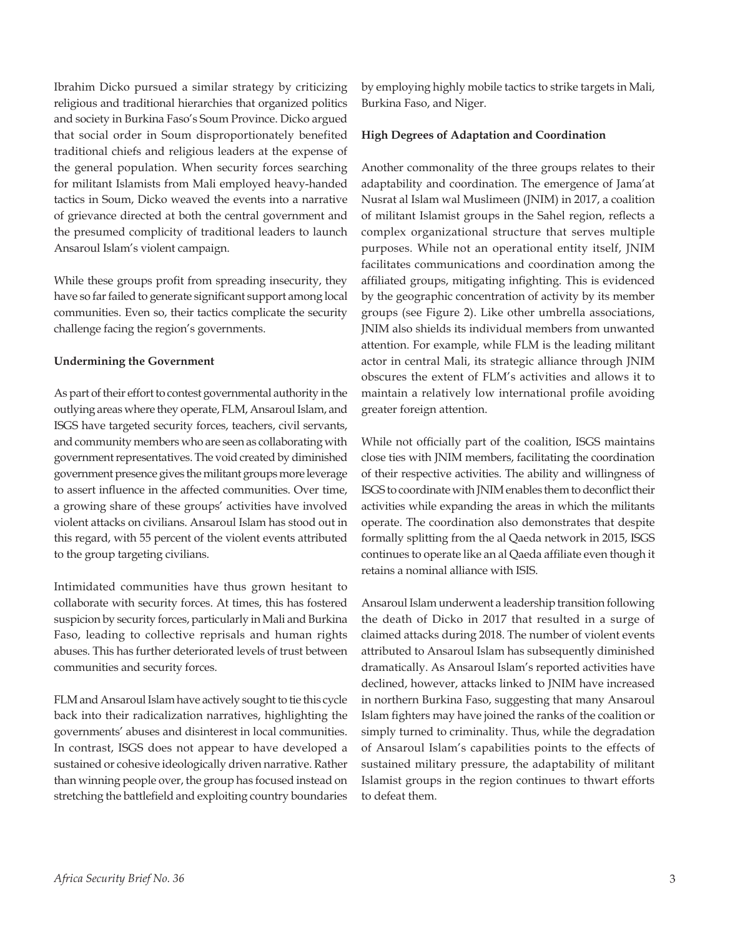Ibrahim Dicko pursued a similar strategy by criticizing religious and traditional hierarchies that organized politics and society in Burkina Faso's Soum Province. Dicko argued that social order in Soum disproportionately benefited traditional chiefs and religious leaders at the expense of the general population. When security forces searching for militant Islamists from Mali employed heavy-handed tactics in Soum, Dicko weaved the events into a narrative of grievance directed at both the central government and the presumed complicity of traditional leaders to launch Ansaroul Islam's violent campaign.

While these groups profit from spreading insecurity, they have so far failed to generate significant support among local communities. Even so, their tactics complicate the security challenge facing the region's governments.

## **Undermining the Government**

As part of their effort to contest governmental authority in the outlying areas where they operate, FLM, Ansaroul Islam, and ISGS have targeted security forces, teachers, civil servants, and community members who are seen as collaborating with government representatives. The void created by diminished government presence gives the militant groups more leverage to assert influence in the affected communities. Over time, a growing share of these groups' activities have involved violent attacks on civilians. Ansaroul Islam has stood out in this regard, with 55 percent of the violent events attributed to the group targeting civilians.

Intimidated communities have thus grown hesitant to collaborate with security forces. At times, this has fostered suspicion by security forces, particularly in Mali and Burkina Faso, leading to collective reprisals and human rights abuses. This has further deteriorated levels of trust between communities and security forces.

FLM and Ansaroul Islam have actively sought to tie this cycle back into their radicalization narratives, highlighting the governments' abuses and disinterest in local communities. In contrast, ISGS does not appear to have developed a sustained or cohesive ideologically driven narrative. Rather than winning people over, the group has focused instead on stretching the battlefield and exploiting country boundaries by employing highly mobile tactics to strike targets in Mali, Burkina Faso, and Niger.

## **High Degrees of Adaptation and Coordination**

Another commonality of the three groups relates to their adaptability and coordination. The emergence of Jama'at Nusrat al Islam wal Muslimeen (JNIM) in 2017, a coalition of militant Islamist groups in the Sahel region, reflects a complex organizational structure that serves multiple purposes. While not an operational entity itself, JNIM facilitates communications and coordination among the affiliated groups, mitigating infighting. This is evidenced by the geographic concentration of activity by its member groups (see Figure 2). Like other umbrella associations, JNIM also shields its individual members from unwanted attention. For example, while FLM is the leading militant actor in central Mali, its strategic alliance through JNIM obscures the extent of FLM's activities and allows it to maintain a relatively low international profile avoiding greater foreign attention.

While not officially part of the coalition, ISGS maintains close ties with JNIM members, facilitating the coordination of their respective activities. The ability and willingness of ISGS to coordinate with JNIM enables them to deconflict their activities while expanding the areas in which the militants operate. The coordination also demonstrates that despite formally splitting from the al Qaeda network in 2015, ISGS continues to operate like an al Qaeda affiliate even though it retains a nominal alliance with ISIS.

Ansaroul Islam underwent a leadership transition following the death of Dicko in 2017 that resulted in a surge of claimed attacks during 2018. The number of violent events attributed to Ansaroul Islam has subsequently diminished dramatically. As Ansaroul Islam's reported activities have declined, however, attacks linked to JNIM have increased in northern Burkina Faso, suggesting that many Ansaroul Islam fighters may have joined the ranks of the coalition or simply turned to criminality. Thus, while the degradation of Ansaroul Islam's capabilities points to the effects of sustained military pressure, the adaptability of militant Islamist groups in the region continues to thwart efforts to defeat them.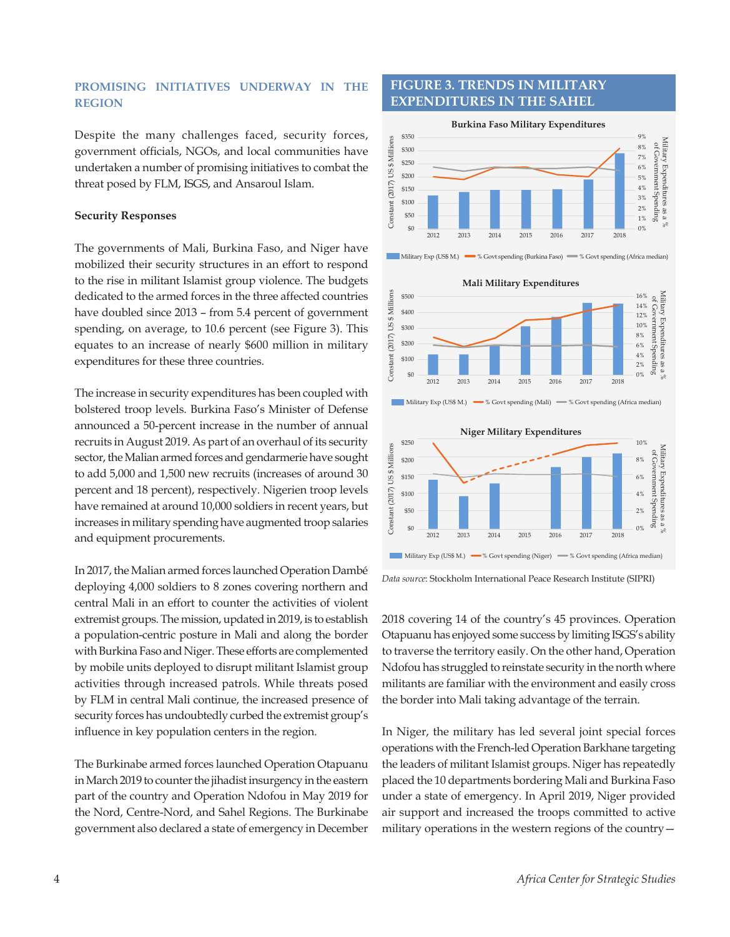## **PROMISING INITIATIVES UNDERWAY IN THE REGION**

Despite the many challenges faced, security forces, government officials, NGOs, and local communities have undertaken a number of promising initiatives to combat the threat posed by FLM, ISGS, and Ansaroul Islam.

## **Security Responses**

The governments of Mali, Burkina Faso, and Niger have mobilized their security structures in an effort to respond to the rise in militant Islamist group violence. The budgets dedicated to the armed forces in the three affected countries have doubled since 2013 – from 5.4 percent of government spending, on average, to 10.6 percent (see Figure 3). This equates to an increase of nearly \$600 million in military expenditures for these three countries.

The increase in security expenditures has been coupled with bolstered troop levels. Burkina Faso's Minister of Defense announced a 50-percent increase in the number of annual recruits in August 2019. As part of an overhaul of its security sector, the Malian armed forces and gendarmerie have sought to add 5,000 and 1,500 new recruits (increases of around 30 percent and 18 percent), respectively. Nigerien troop levels have remained at around 10,000 soldiers in recent years, but increases in military spending have augmented troop salaries and equipment procurements.

In 2017, the Malian armed forces launched Operation Dambé deploying 4,000 soldiers to 8 zones covering northern and central Mali in an effort to counter the activities of violent extremist groups. The mission, updated in 2019, is to establish a population-centric posture in Mali and along the border with Burkina Faso and Niger. These efforts are complemented by mobile units deployed to disrupt militant Islamist group activities through increased patrols. While threats posed by FLM in central Mali continue, the increased presence of security forces has undoubtedly curbed the extremist group's influence in key population centers in the region.

The Burkinabe armed forces launched Operation Otapuanu in March 2019 to counter the jihadist insurgency in the eastern part of the country and Operation Ndofou in May 2019 for the Nord, Centre-Nord, and Sahel Regions. The Burkinabe government also declared a state of emergency in December

## **FIGURE 3. TRENDS IN MILITARY EXPENDITURES IN THE SAHEL**











*Data source*: Stockholm International Peace Research Institute (SIPRI)

2018 covering 14 of the country's 45 provinces. Operation Otapuanu has enjoyed some success by limiting ISGS's ability to traverse the territory easily. On the other hand, Operation Ndofou has struggled to reinstate security in the north where militants are familiar with the environment and easily cross the border into Mali taking advantage of the terrain.

In Niger, the military has led several joint special forces operations with the French-led Operation Barkhane targeting the leaders of militant Islamist groups. Niger has repeatedly placed the 10 departments bordering Mali and Burkina Faso under a state of emergency. In April 2019, Niger provided air support and increased the troops committed to active military operations in the western regions of the country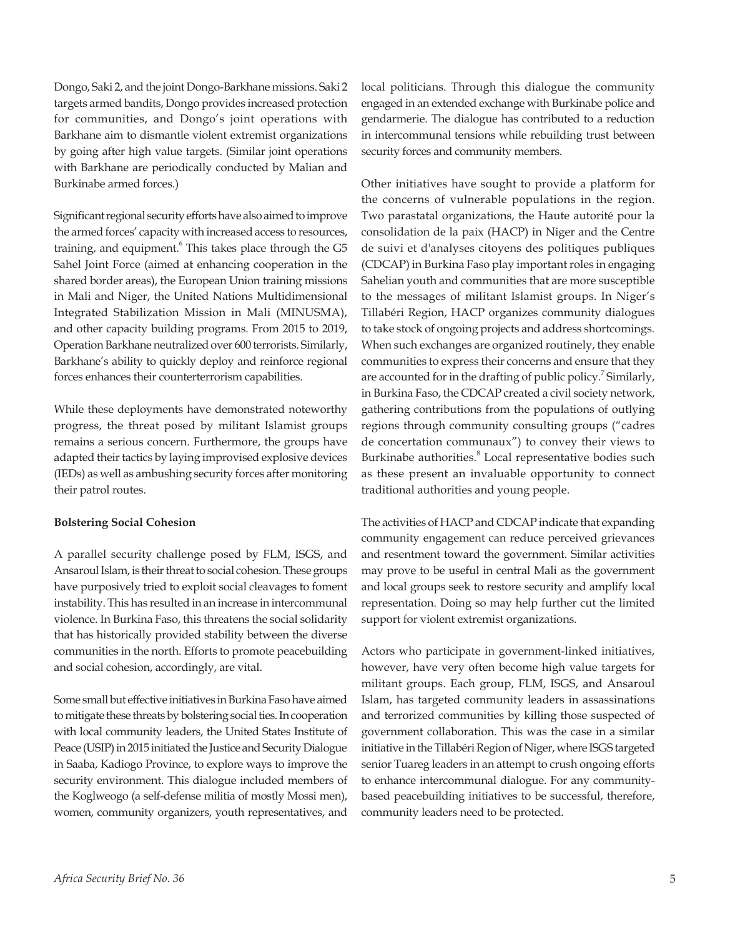Dongo, Saki 2, and the joint Dongo-Barkhane missions. Saki 2 targets armed bandits, Dongo provides increased protection for communities, and Dongo's joint operations with Barkhane aim to dismantle violent extremist organizations by going after high value targets. (Similar joint operations with Barkhane are periodically conducted by Malian and Burkinabe armed forces.)

Significant regional security efforts have also aimed to improve the armed forces' capacity with increased access to resources, training, and equipment. This takes place through the G5 Sahel Joint Force (aimed at enhancing cooperation in the shared border areas), the European Union training missions in Mali and Niger, the United Nations Multidimensional Integrated Stabilization Mission in Mali (MINUSMA), and other capacity building programs. From 2015 to 2019, Operation Barkhane neutralized over 600 terrorists. Similarly, Barkhane's ability to quickly deploy and reinforce regional forces enhances their counterterrorism capabilities.

While these deployments have demonstrated noteworthy progress, the threat posed by militant Islamist groups remains a serious concern. Furthermore, the groups have adapted their tactics by laying improvised explosive devices (IEDs) as well as ambushing security forces after monitoring their patrol routes.

## **Bolstering Social Cohesion**

A parallel security challenge posed by FLM, ISGS, and Ansaroul Islam, is their threat to social cohesion. These groups have purposively tried to exploit social cleavages to foment instability. This has resulted in an increase in intercommunal violence. In Burkina Faso, this threatens the social solidarity that has historically provided stability between the diverse communities in the north. Efforts to promote peacebuilding and social cohesion, accordingly, are vital.

Some small but effective initiatives in Burkina Faso have aimed to mitigate these threats by bolstering social ties. In cooperation with local community leaders, the United States Institute of Peace (USIP) in 2015 initiated the Justice and Security Dialogue in Saaba, Kadiogo Province, to explore ways to improve the security environment. This dialogue included members of the Koglweogo (a self-defense militia of mostly Mossi men), women, community organizers, youth representatives, and

local politicians. Through this dialogue the community engaged in an extended exchange with Burkinabe police and gendarmerie. The dialogue has contributed to a reduction in intercommunal tensions while rebuilding trust between security forces and community members.

Other initiatives have sought to provide a platform for the concerns of vulnerable populations in the region. Two parastatal organizations, the Haute autorité pour la consolidation de la paix (HACP) in Niger and the Centre de suivi et d'analyses citoyens des politiques publiques (CDCAP) in Burkina Faso play important roles in engaging Sahelian youth and communities that are more susceptible to the messages of militant Islamist groups. In Niger's Tillabéri Region, HACP organizes community dialogues to take stock of ongoing projects and address shortcomings. When such exchanges are organized routinely, they enable communities to express their concerns and ensure that they are accounted for in the drafting of public policy.<sup>7</sup> Similarly, in Burkina Faso, the CDCAP created a civil society network, gathering contributions from the populations of outlying regions through community consulting groups ("cadres de concertation communaux") to convey their views to Burkinabe authorities.<sup>8</sup> Local representative bodies such as these present an invaluable opportunity to connect traditional authorities and young people.

The activities of HACP and CDCAP indicate that expanding community engagement can reduce perceived grievances and resentment toward the government. Similar activities may prove to be useful in central Mali as the government and local groups seek to restore security and amplify local representation. Doing so may help further cut the limited support for violent extremist organizations.

Actors who participate in government-linked initiatives, however, have very often become high value targets for militant groups. Each group, FLM, ISGS, and Ansaroul Islam, has targeted community leaders in assassinations and terrorized communities by killing those suspected of government collaboration. This was the case in a similar initiative in the Tillabéri Region of Niger, where ISGS targeted senior Tuareg leaders in an attempt to crush ongoing efforts to enhance intercommunal dialogue. For any communitybased peacebuilding initiatives to be successful, therefore, community leaders need to be protected.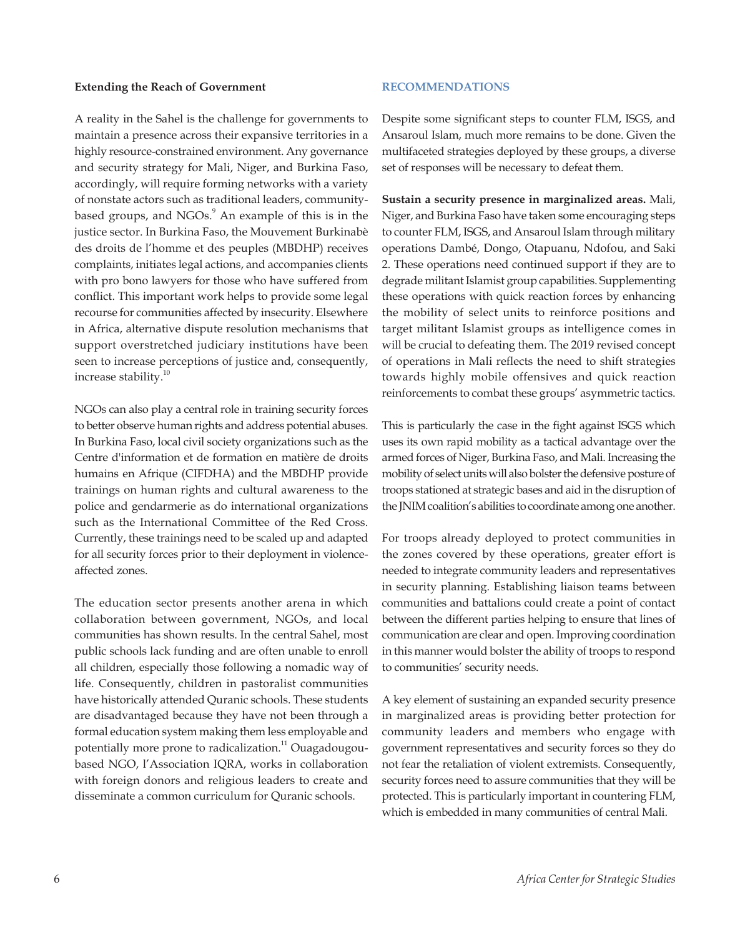#### **Extending the Reach of Government**

A reality in the Sahel is the challenge for governments to maintain a presence across their expansive territories in a highly resource-constrained environment. Any governance and security strategy for Mali, Niger, and Burkina Faso, accordingly, will require forming networks with a variety of nonstate actors such as traditional leaders, communitybased groups, and NGOs.<sup>9</sup> An example of this is in the justice sector. In Burkina Faso, the Mouvement Burkinabè des droits de l'homme et des peuples (MBDHP) receives complaints, initiates legal actions, and accompanies clients with pro bono lawyers for those who have suffered from conflict. This important work helps to provide some legal recourse for communities affected by insecurity. Elsewhere in Africa, alternative dispute resolution mechanisms that support overstretched judiciary institutions have been seen to increase perceptions of justice and, consequently, increase stability.<sup>10</sup>

NGOs can also play a central role in training security forces to better observe human rights and address potential abuses. In Burkina Faso, local civil society organizations such as the Centre d'information et de formation en matière de droits humains en Afrique (CIFDHA) and the MBDHP provide trainings on human rights and cultural awareness to the police and gendarmerie as do international organizations such as the International Committee of the Red Cross. Currently, these trainings need to be scaled up and adapted for all security forces prior to their deployment in violenceaffected zones.

The education sector presents another arena in which collaboration between government, NGOs, and local communities has shown results. In the central Sahel, most public schools lack funding and are often unable to enroll all children, especially those following a nomadic way of life. Consequently, children in pastoralist communities have historically attended Quranic schools. These students are disadvantaged because they have not been through a formal education system making them less employable and potentially more prone to radicalization.<sup>11</sup> Ouagadougoubased NGO, l'Association IQRA, works in collaboration with foreign donors and religious leaders to create and disseminate a common curriculum for Quranic schools.

## **RECOMMENDATIONS**

Despite some significant steps to counter FLM, ISGS, and Ansaroul Islam, much more remains to be done. Given the multifaceted strategies deployed by these groups, a diverse set of responses will be necessary to defeat them.

**Sustain a security presence in marginalized areas.** Mali, Niger, and Burkina Faso have taken some encouraging steps to counter FLM, ISGS, and Ansaroul Islam through military operations Dambé, Dongo, Otapuanu, Ndofou, and Saki 2. These operations need continued support if they are to degrade militant Islamist group capabilities. Supplementing these operations with quick reaction forces by enhancing the mobility of select units to reinforce positions and target militant Islamist groups as intelligence comes in will be crucial to defeating them. The 2019 revised concept of operations in Mali reflects the need to shift strategies towards highly mobile offensives and quick reaction reinforcements to combat these groups' asymmetric tactics.

This is particularly the case in the fight against ISGS which uses its own rapid mobility as a tactical advantage over the armed forces of Niger, Burkina Faso, and Mali. Increasing the mobility of select units will also bolster the defensive posture of troops stationed at strategic bases and aid in the disruption of the JNIM coalition's abilities to coordinate among one another.

For troops already deployed to protect communities in the zones covered by these operations, greater effort is needed to integrate community leaders and representatives in security planning. Establishing liaison teams between communities and battalions could create a point of contact between the different parties helping to ensure that lines of communication are clear and open. Improving coordination in this manner would bolster the ability of troops to respond to communities' security needs.

A key element of sustaining an expanded security presence in marginalized areas is providing better protection for community leaders and members who engage with government representatives and security forces so they do not fear the retaliation of violent extremists. Consequently, security forces need to assure communities that they will be protected. This is particularly important in countering FLM, which is embedded in many communities of central Mali.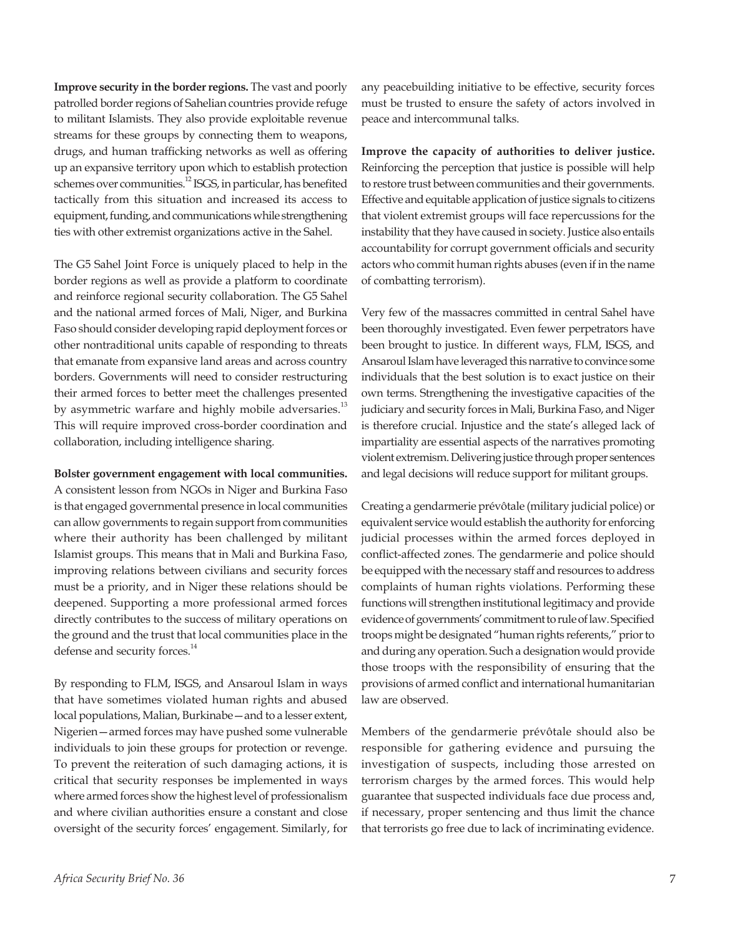**Improve security in the border regions.** The vast and poorly patrolled border regions of Sahelian countries provide refuge to militant Islamists. They also provide exploitable revenue streams for these groups by connecting them to weapons, drugs, and human trafficking networks as well as offering up an expansive territory upon which to establish protection schemes over communities.<sup>12</sup> ISGS, in particular, has benefited tactically from this situation and increased its access to equipment, funding, and communications while strengthening ties with other extremist organizations active in the Sahel.

The G5 Sahel Joint Force is uniquely placed to help in the border regions as well as provide a platform to coordinate and reinforce regional security collaboration. The G5 Sahel and the national armed forces of Mali, Niger, and Burkina Faso should consider developing rapid deployment forces or other nontraditional units capable of responding to threats that emanate from expansive land areas and across country borders. Governments will need to consider restructuring their armed forces to better meet the challenges presented by asymmetric warfare and highly mobile adversaries.<sup>13</sup> This will require improved cross-border coordination and collaboration, including intelligence sharing.

#### **Bolster government engagement with local communities.**

A consistent lesson from NGOs in Niger and Burkina Faso is that engaged governmental presence in local communities can allow governments to regain support from communities where their authority has been challenged by militant Islamist groups. This means that in Mali and Burkina Faso, improving relations between civilians and security forces must be a priority, and in Niger these relations should be deepened. Supporting a more professional armed forces directly contributes to the success of military operations on the ground and the trust that local communities place in the defense and security forces.<sup>14</sup>

By responding to FLM, ISGS, and Ansaroul Islam in ways that have sometimes violated human rights and abused local populations, Malian, Burkinabe—and to a lesser extent, Nigerien—armed forces may have pushed some vulnerable individuals to join these groups for protection or revenge. To prevent the reiteration of such damaging actions, it is critical that security responses be implemented in ways where armed forces show the highest level of professionalism and where civilian authorities ensure a constant and close oversight of the security forces' engagement. Similarly, for

any peacebuilding initiative to be effective, security forces must be trusted to ensure the safety of actors involved in peace and intercommunal talks.

**Improve the capacity of authorities to deliver justice.** Reinforcing the perception that justice is possible will help to restore trust between communities and their governments. Effective and equitable application of justice signals to citizens that violent extremist groups will face repercussions for the instability that they have caused in society. Justice also entails accountability for corrupt government officials and security actors who commit human rights abuses (even if in the name of combatting terrorism).

Very few of the massacres committed in central Sahel have been thoroughly investigated. Even fewer perpetrators have been brought to justice. In different ways, FLM, ISGS, and Ansaroul Islam have leveraged this narrative to convince some individuals that the best solution is to exact justice on their own terms. Strengthening the investigative capacities of the judiciary and security forces in Mali, Burkina Faso, and Niger is therefore crucial. Injustice and the state's alleged lack of impartiality are essential aspects of the narratives promoting violent extremism. Delivering justice through proper sentences and legal decisions will reduce support for militant groups.

Creating a gendarmerie prévôtale (military judicial police) or equivalent service would establish the authority for enforcing judicial processes within the armed forces deployed in conflict-affected zones. The gendarmerie and police should be equipped with the necessary staff and resources to address complaints of human rights violations. Performing these functions will strengthen institutional legitimacy and provide evidence of governments' commitment to rule of law. Specified troops might be designated "human rights referents," prior to and during any operation. Such a designation would provide those troops with the responsibility of ensuring that the provisions of armed conflict and international humanitarian law are observed.

Members of the gendarmerie prévôtale should also be responsible for gathering evidence and pursuing the investigation of suspects, including those arrested on terrorism charges by the armed forces. This would help guarantee that suspected individuals face due process and, if necessary, proper sentencing and thus limit the chance that terrorists go free due to lack of incriminating evidence.